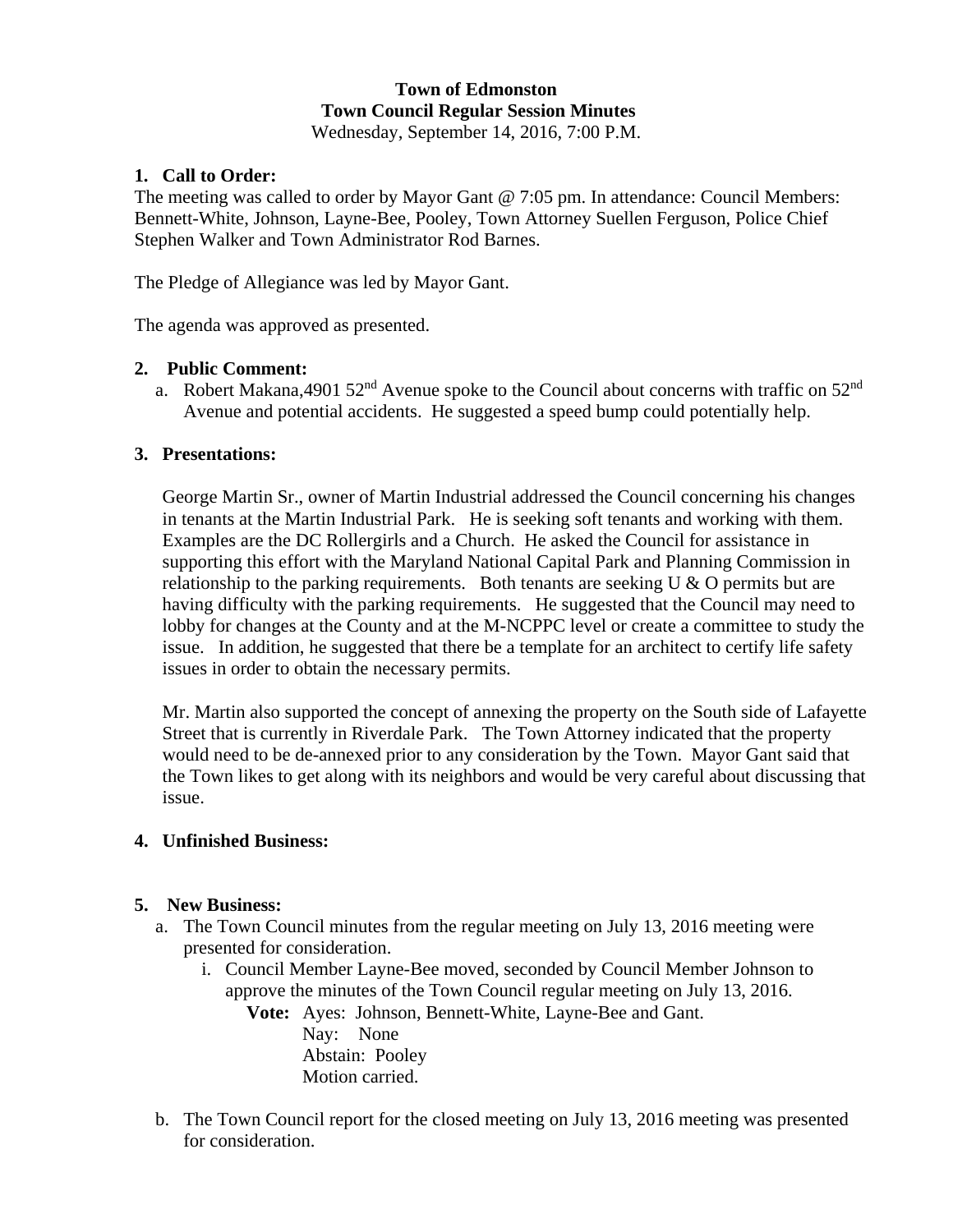# **Town of Edmonston Town Council Regular Session Minutes**

Wednesday, September 14, 2016, 7:00 P.M.

#### **1. Call to Order:**

The meeting was called to order by Mayor Gant @ 7:05 pm. In attendance: Council Members: Bennett-White, Johnson, Layne-Bee, Pooley, Town Attorney Suellen Ferguson, Police Chief Stephen Walker and Town Administrator Rod Barnes.

The Pledge of Allegiance was led by Mayor Gant.

The agenda was approved as presented.

### **2. Public Comment:**

a. Robert Makana, 4901 52<sup>nd</sup> Avenue spoke to the Council about concerns with traffic on 52<sup>nd</sup> Avenue and potential accidents. He suggested a speed bump could potentially help.

#### **3. Presentations:**

George Martin Sr., owner of Martin Industrial addressed the Council concerning his changes in tenants at the Martin Industrial Park. He is seeking soft tenants and working with them. Examples are the DC Rollergirls and a Church. He asked the Council for assistance in supporting this effort with the Maryland National Capital Park and Planning Commission in relationship to the parking requirements. Both tenants are seeking  $U & O$  permits but are having difficulty with the parking requirements. He suggested that the Council may need to lobby for changes at the County and at the M-NCPPC level or create a committee to study the issue. In addition, he suggested that there be a template for an architect to certify life safety issues in order to obtain the necessary permits.

Mr. Martin also supported the concept of annexing the property on the South side of Lafayette Street that is currently in Riverdale Park. The Town Attorney indicated that the property would need to be de-annexed prior to any consideration by the Town. Mayor Gant said that the Town likes to get along with its neighbors and would be very careful about discussing that issue.

#### **4. Unfinished Business:**

#### **5. New Business:**

- a. The Town Council minutes from the regular meeting on July 13, 2016 meeting were presented for consideration.
	- i. Council Member Layne-Bee moved, seconded by Council Member Johnson to approve the minutes of the Town Council regular meeting on July 13, 2016.

**Vote:** Ayes: Johnson, Bennett-White, Layne-Bee and Gant.

Nay: None Abstain: Pooley Motion carried.

b. The Town Council report for the closed meeting on July 13, 2016 meeting was presented for consideration.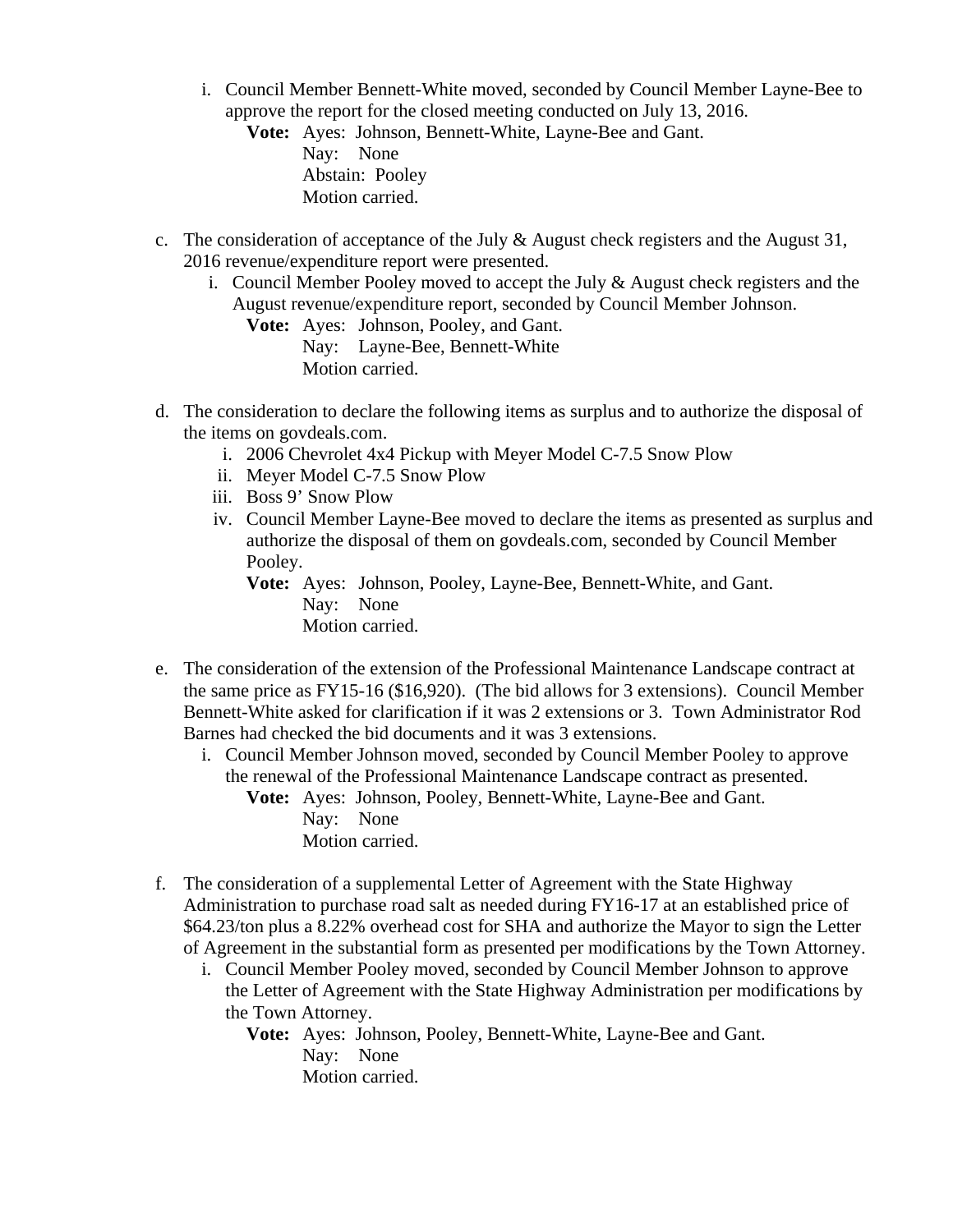- i. Council Member Bennett-White moved, seconded by Council Member Layne-Bee to approve the report for the closed meeting conducted on July 13, 2016.
	- **Vote:** Ayes: Johnson, Bennett-White, Layne-Bee and Gant. Nay: None Abstain: Pooley Motion carried.
- c. The consideration of acceptance of the July & August check registers and the August 31, 2016 revenue/expenditure report were presented.
	- i. Council Member Pooley moved to accept the July & August check registers and the August revenue/expenditure report, seconded by Council Member Johnson.

**Vote:** Ayes: Johnson, Pooley, and Gant.

Nay: Layne-Bee, Bennett-White Motion carried.

- d. The consideration to declare the following items as surplus and to authorize the disposal of the items on govdeals.com.
	- i. 2006 Chevrolet 4x4 Pickup with Meyer Model C-7.5 Snow Plow
	- ii. Meyer Model C-7.5 Snow Plow
	- iii. Boss 9' Snow Plow
	- iv. Council Member Layne-Bee moved to declare the items as presented as surplus and authorize the disposal of them on govdeals.com, seconded by Council Member Pooley.

**Vote:** Ayes: Johnson, Pooley, Layne-Bee, Bennett-White, and Gant. Nay: None Motion carried.

- e. The consideration of the extension of the Professional Maintenance Landscape contract at the same price as FY15-16 (\$16,920). (The bid allows for 3 extensions). Council Member Bennett-White asked for clarification if it was 2 extensions or 3. Town Administrator Rod Barnes had checked the bid documents and it was 3 extensions.
	- i. Council Member Johnson moved, seconded by Council Member Pooley to approve the renewal of the Professional Maintenance Landscape contract as presented.
		- **Vote:** Ayes: Johnson, Pooley, Bennett-White, Layne-Bee and Gant. Nay: None Motion carried.
- f. The consideration of a supplemental Letter of Agreement with the State Highway Administration to purchase road salt as needed during FY16-17 at an established price of \$64.23/ton plus a 8.22% overhead cost for SHA and authorize the Mayor to sign the Letter of Agreement in the substantial form as presented per modifications by the Town Attorney.
	- i. Council Member Pooley moved, seconded by Council Member Johnson to approve the Letter of Agreement with the State Highway Administration per modifications by the Town Attorney.

**Vote:** Ayes: Johnson, Pooley, Bennett-White, Layne-Bee and Gant. Nay: None Motion carried.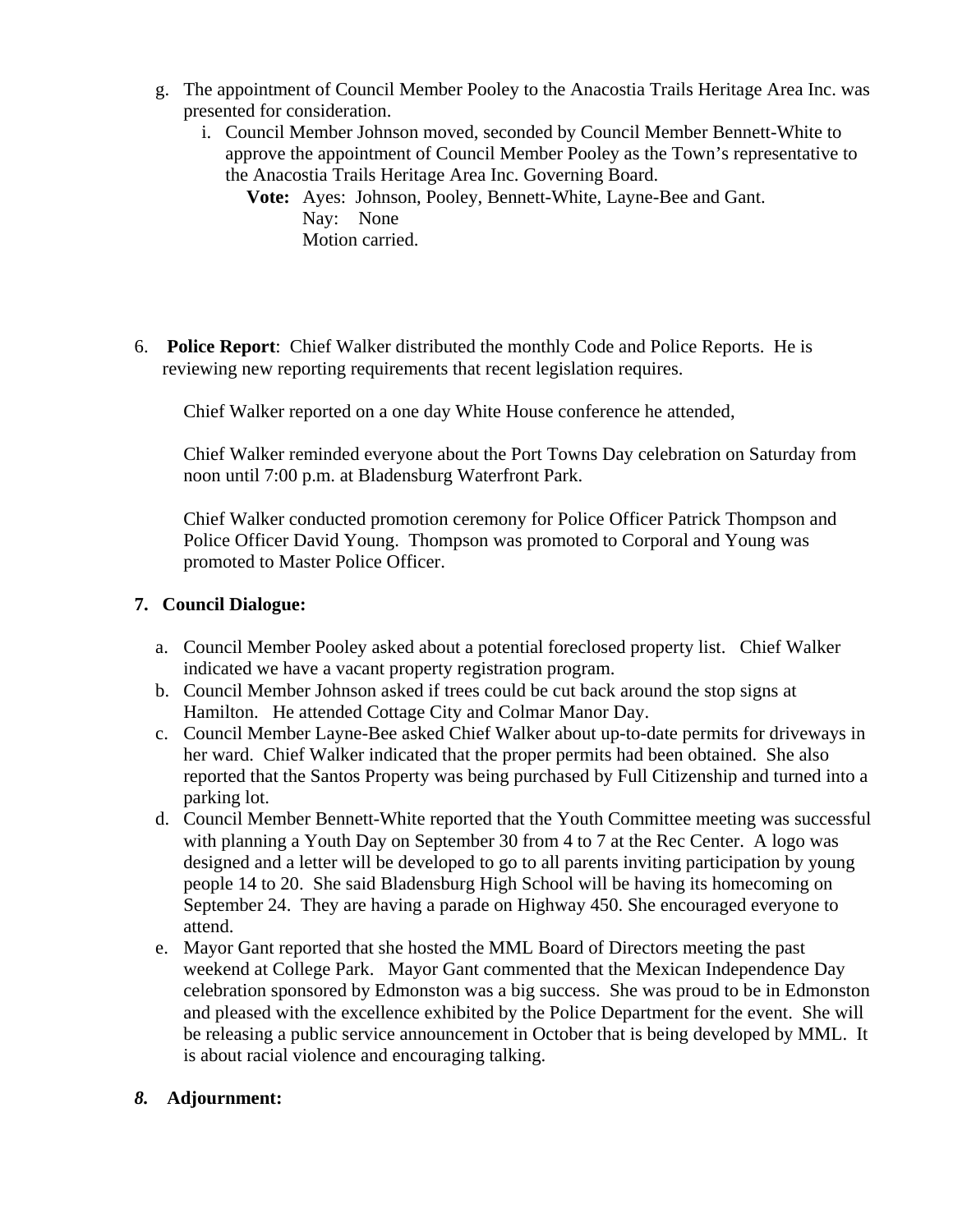- g. The appointment of Council Member Pooley to the Anacostia Trails Heritage Area Inc. was presented for consideration.
	- i. Council Member Johnson moved, seconded by Council Member Bennett-White to approve the appointment of Council Member Pooley as the Town's representative to the Anacostia Trails Heritage Area Inc. Governing Board.

**Vote:** Ayes: Johnson, Pooley, Bennett-White, Layne-Bee and Gant. Nay: None Motion carried.

6. **Police Report**: Chief Walker distributed the monthly Code and Police Reports. He is reviewing new reporting requirements that recent legislation requires.

Chief Walker reported on a one day White House conference he attended,

Chief Walker reminded everyone about the Port Towns Day celebration on Saturday from noon until 7:00 p.m. at Bladensburg Waterfront Park.

Chief Walker conducted promotion ceremony for Police Officer Patrick Thompson and Police Officer David Young. Thompson was promoted to Corporal and Young was promoted to Master Police Officer.

#### **7. Council Dialogue:**

- a. Council Member Pooley asked about a potential foreclosed property list. Chief Walker indicated we have a vacant property registration program.
- b. Council Member Johnson asked if trees could be cut back around the stop signs at Hamilton. He attended Cottage City and Colmar Manor Day.
- c. Council Member Layne-Bee asked Chief Walker about up-to-date permits for driveways in her ward. Chief Walker indicated that the proper permits had been obtained. She also reported that the Santos Property was being purchased by Full Citizenship and turned into a parking lot.
- d. Council Member Bennett-White reported that the Youth Committee meeting was successful with planning a Youth Day on September 30 from 4 to 7 at the Rec Center. A logo was designed and a letter will be developed to go to all parents inviting participation by young people 14 to 20. She said Bladensburg High School will be having its homecoming on September 24. They are having a parade on Highway 450. She encouraged everyone to attend.
- e. Mayor Gant reported that she hosted the MML Board of Directors meeting the past weekend at College Park. Mayor Gant commented that the Mexican Independence Day celebration sponsored by Edmonston was a big success. She was proud to be in Edmonston and pleased with the excellence exhibited by the Police Department for the event. She will be releasing a public service announcement in October that is being developed by MML. It is about racial violence and encouraging talking.

## *8.* **Adjournment:**